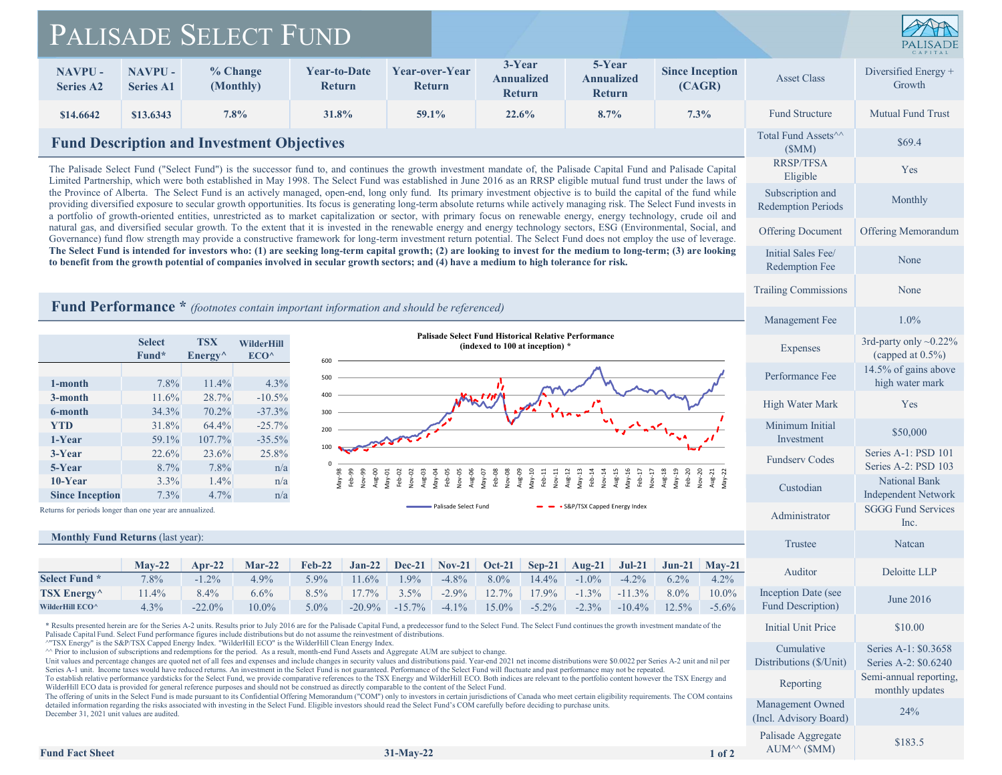## PALISADE SELECT FUND



|                                                                                                                                                                                                                                                                                                                                                                                                                                                                                                                                                                                                                                                                                                                                                                                                                                                                                                                                                                                                                                                                                                                                                                                                                                                          | PALISADE SELECT FUND                                                                                                                                                                                 |                                          |                          |                                                                                                                                                                                                                                                                                                                                                                                                                                                                                     |                   |                                                |                                                          |                                              |                                              |                            |                                                                                                                                                                                                                                |                                                   |                                                      |
|----------------------------------------------------------------------------------------------------------------------------------------------------------------------------------------------------------------------------------------------------------------------------------------------------------------------------------------------------------------------------------------------------------------------------------------------------------------------------------------------------------------------------------------------------------------------------------------------------------------------------------------------------------------------------------------------------------------------------------------------------------------------------------------------------------------------------------------------------------------------------------------------------------------------------------------------------------------------------------------------------------------------------------------------------------------------------------------------------------------------------------------------------------------------------------------------------------------------------------------------------------|------------------------------------------------------------------------------------------------------------------------------------------------------------------------------------------------------|------------------------------------------|--------------------------|-------------------------------------------------------------------------------------------------------------------------------------------------------------------------------------------------------------------------------------------------------------------------------------------------------------------------------------------------------------------------------------------------------------------------------------------------------------------------------------|-------------------|------------------------------------------------|----------------------------------------------------------|----------------------------------------------|----------------------------------------------|----------------------------|--------------------------------------------------------------------------------------------------------------------------------------------------------------------------------------------------------------------------------|---------------------------------------------------|------------------------------------------------------|
| <b>NAVPU-</b><br><b>Series A2</b>                                                                                                                                                                                                                                                                                                                                                                                                                                                                                                                                                                                                                                                                                                                                                                                                                                                                                                                                                                                                                                                                                                                                                                                                                        | <b>NAVPU-</b><br><b>Series A1</b>                                                                                                                                                                    | % Change<br>(Monthly)                    |                          | <b>Year-to-Date</b><br><b>Return</b>                                                                                                                                                                                                                                                                                                                                                                                                                                                |                   | Year-over-Year<br>Return                       |                                                          | 3-Year<br><b>Annualized</b><br><b>Return</b> | 5-Year<br><b>Annualized</b><br><b>Return</b> |                            | <b>Since Inception</b><br>(CAGR)                                                                                                                                                                                               | <b>Asset Class</b>                                | Diversified Energy +<br>Growth                       |
| \$14.6642                                                                                                                                                                                                                                                                                                                                                                                                                                                                                                                                                                                                                                                                                                                                                                                                                                                                                                                                                                                                                                                                                                                                                                                                                                                | \$13.6343                                                                                                                                                                                            | 7.8%                                     |                          | 31.8%                                                                                                                                                                                                                                                                                                                                                                                                                                                                               |                   | 59.1%                                          |                                                          | 22.6%                                        | 8.7%                                         |                            | $7.3\%$                                                                                                                                                                                                                        | <b>Fund Structure</b>                             | <b>Mutual Fund Trust</b>                             |
|                                                                                                                                                                                                                                                                                                                                                                                                                                                                                                                                                                                                                                                                                                                                                                                                                                                                                                                                                                                                                                                                                                                                                                                                                                                          | <b>Fund Description and Investment Objectives</b>                                                                                                                                                    | Total Fund Assets <sup>^^</sup><br>(SMM) | \$69.4                   |                                                                                                                                                                                                                                                                                                                                                                                                                                                                                     |                   |                                                |                                                          |                                              |                                              |                            |                                                                                                                                                                                                                                |                                                   |                                                      |
| <b>RRSP/TFSA</b><br>The Palisade Select Fund ("Select Fund") is the successor fund to, and continues the growth investment mandate of, the Palisade Capital Fund and Palisade Capital<br>Eligible<br>Limited Partnership, which were both established in May 1998. The Select Fund was established in June 2016 as an RRSP eligible mutual fund trust under the laws of<br>the Province of Alberta. The Select Fund is an actively managed, open-end, long only fund. Its primary investment objective is to build the capital of the fund while<br>providing diversified exposure to secular growth opportunities. Its focus is generating long-term absolute returns while actively managing risk. The Select Fund invests in<br>a portfolio of growth-oriented entities, unrestricted as to market capitalization or sector, with primary focus on renewable energy, energy technology, crude oil and<br>natural gas, and diversified secular growth. To the extent that it is invested in the renewable energy and energy technology sectors, ESG (Environmental, Social, and<br>Governance) fund flow strength may provide a constructive framework for long-term investment return potential. The Select Fund does not employ the use of leverage. |                                                                                                                                                                                                      |                                          |                          |                                                                                                                                                                                                                                                                                                                                                                                                                                                                                     |                   |                                                |                                                          |                                              |                                              |                            |                                                                                                                                                                                                                                |                                                   | Yes                                                  |
|                                                                                                                                                                                                                                                                                                                                                                                                                                                                                                                                                                                                                                                                                                                                                                                                                                                                                                                                                                                                                                                                                                                                                                                                                                                          |                                                                                                                                                                                                      |                                          |                          |                                                                                                                                                                                                                                                                                                                                                                                                                                                                                     |                   |                                                |                                                          |                                              |                                              |                            |                                                                                                                                                                                                                                | Subscription and<br><b>Redemption Periods</b>     | Monthly                                              |
|                                                                                                                                                                                                                                                                                                                                                                                                                                                                                                                                                                                                                                                                                                                                                                                                                                                                                                                                                                                                                                                                                                                                                                                                                                                          |                                                                                                                                                                                                      |                                          |                          |                                                                                                                                                                                                                                                                                                                                                                                                                                                                                     |                   |                                                |                                                          |                                              |                                              |                            |                                                                                                                                                                                                                                | <b>Offering Document</b>                          | Offering Memorandum                                  |
| The Select Fund is intended for investors who: (1) are seeking long-term capital growth; (2) are looking to invest for the medium to long-term; (3) are looking<br>Initial Sales Fee/<br>to benefit from the growth potential of companies involved in secular growth sectors; and (4) have a medium to high tolerance for risk.<br>Redemption Fee                                                                                                                                                                                                                                                                                                                                                                                                                                                                                                                                                                                                                                                                                                                                                                                                                                                                                                       |                                                                                                                                                                                                      |                                          |                          |                                                                                                                                                                                                                                                                                                                                                                                                                                                                                     |                   |                                                |                                                          |                                              |                                              |                            | None                                                                                                                                                                                                                           |                                                   |                                                      |
|                                                                                                                                                                                                                                                                                                                                                                                                                                                                                                                                                                                                                                                                                                                                                                                                                                                                                                                                                                                                                                                                                                                                                                                                                                                          |                                                                                                                                                                                                      |                                          |                          |                                                                                                                                                                                                                                                                                                                                                                                                                                                                                     |                   |                                                |                                                          |                                              |                                              |                            |                                                                                                                                                                                                                                | <b>Trailing Commissions</b>                       | None                                                 |
|                                                                                                                                                                                                                                                                                                                                                                                                                                                                                                                                                                                                                                                                                                                                                                                                                                                                                                                                                                                                                                                                                                                                                                                                                                                          |                                                                                                                                                                                                      |                                          |                          | <b>Fund Performance</b> * <i>(footnotes contain important information and should be referenced)</i>                                                                                                                                                                                                                                                                                                                                                                                 |                   |                                                |                                                          |                                              |                                              |                            |                                                                                                                                                                                                                                | Management Fee                                    | 1.0%                                                 |
|                                                                                                                                                                                                                                                                                                                                                                                                                                                                                                                                                                                                                                                                                                                                                                                                                                                                                                                                                                                                                                                                                                                                                                                                                                                          | <b>Palisade Select Fund Historical Relative Performance</b><br><b>Select</b><br><b>TSX</b><br>WilderHill<br>(indexed to 100 at inception) *<br>Fund*<br>$Energy^{\wedge}$<br>ECO <sup>^</sup><br>600 |                                          |                          |                                                                                                                                                                                                                                                                                                                                                                                                                                                                                     |                   |                                                |                                                          |                                              |                                              |                            |                                                                                                                                                                                                                                | <b>Expenses</b>                                   | 3rd-party only $\sim 0.22\%$<br>(capped at $0.5\%$ ) |
| 1-month                                                                                                                                                                                                                                                                                                                                                                                                                                                                                                                                                                                                                                                                                                                                                                                                                                                                                                                                                                                                                                                                                                                                                                                                                                                  | 7.8%                                                                                                                                                                                                 | 11.4%                                    | 4.3%                     | 500                                                                                                                                                                                                                                                                                                                                                                                                                                                                                 |                   |                                                |                                                          |                                              |                                              |                            |                                                                                                                                                                                                                                | Performance Fee                                   | 14.5% of gains above<br>high water mark              |
| 3-month<br>6-month                                                                                                                                                                                                                                                                                                                                                                                                                                                                                                                                                                                                                                                                                                                                                                                                                                                                                                                                                                                                                                                                                                                                                                                                                                       | 11.6%<br>34.3%                                                                                                                                                                                       | 28.7%<br>70.2%                           | $-10.5%$<br>$-37.3%$     | 400<br>300                                                                                                                                                                                                                                                                                                                                                                                                                                                                          | M                 |                                                |                                                          |                                              |                                              |                            |                                                                                                                                                                                                                                | High Water Mark                                   | Yes                                                  |
| <b>YTD</b>                                                                                                                                                                                                                                                                                                                                                                                                                                                                                                                                                                                                                                                                                                                                                                                                                                                                                                                                                                                                                                                                                                                                                                                                                                               | 31.8%                                                                                                                                                                                                | 64.4%                                    | $-25.7%$                 | 200                                                                                                                                                                                                                                                                                                                                                                                                                                                                                 |                   |                                                |                                                          |                                              |                                              |                            |                                                                                                                                                                                                                                | Minimum Initial<br>Investment                     | \$50,000                                             |
| 1-Year<br>3-Year<br>5-Year                                                                                                                                                                                                                                                                                                                                                                                                                                                                                                                                                                                                                                                                                                                                                                                                                                                                                                                                                                                                                                                                                                                                                                                                                               | 59.1%<br>22.6%<br>8.7%                                                                                                                                                                               | 107.7%<br>23.6%<br>7.8%                  | $-35.5%$<br>25.8%<br>n/a | 100                                                                                                                                                                                                                                                                                                                                                                                                                                                                                 |                   |                                                |                                                          |                                              |                                              |                            |                                                                                                                                                                                                                                | <b>Fundserv Codes</b>                             | Series A-1: PSD 101<br>Series A-2: PSD 103           |
| 10-Year<br><b>Since Inception</b>                                                                                                                                                                                                                                                                                                                                                                                                                                                                                                                                                                                                                                                                                                                                                                                                                                                                                                                                                                                                                                                                                                                                                                                                                        | 3.3%<br>7.3%                                                                                                                                                                                         | $1.4\%$<br>4.7%                          | n/a                      | -99<br>May-98<br>Feb-99<br>OD-89<br>Aug-00<br>Aug-00                                                                                                                                                                                                                                                                                                                                                                                                                                | Feb-02<br>Nov-02  | Aug-03<br>Aay-04<br>Feb-05<br>Nov-05<br>Aug-06 | May-07<br>Feb-08<br>Nov-08<br>Aug-09<br>May-10<br>May-10 |                                              | Vlay-13<br>Feb-14<br>Nov-14<br>Aug-12        | Aug-15<br>May-16<br>Feb-17 |                                                                                                                                                                                                                                | Custodian                                         | <b>National Bank</b><br><b>Independent Network</b>   |
| n/a<br>- S&P/TSX Capped Energy Index<br>Palisade Select Fund<br>Returns for periods longer than one year are annualized.                                                                                                                                                                                                                                                                                                                                                                                                                                                                                                                                                                                                                                                                                                                                                                                                                                                                                                                                                                                                                                                                                                                                 |                                                                                                                                                                                                      |                                          |                          |                                                                                                                                                                                                                                                                                                                                                                                                                                                                                     |                   |                                                |                                                          |                                              |                                              |                            |                                                                                                                                                                                                                                |                                                   | <b>SGGG Fund Services</b><br>Inc.                    |
| <b>Monthly Fund Returns (last year):</b>                                                                                                                                                                                                                                                                                                                                                                                                                                                                                                                                                                                                                                                                                                                                                                                                                                                                                                                                                                                                                                                                                                                                                                                                                 |                                                                                                                                                                                                      |                                          |                          |                                                                                                                                                                                                                                                                                                                                                                                                                                                                                     |                   |                                                |                                                          |                                              |                                              |                            |                                                                                                                                                                                                                                |                                                   | Natcan                                               |
| Select Fund *                                                                                                                                                                                                                                                                                                                                                                                                                                                                                                                                                                                                                                                                                                                                                                                                                                                                                                                                                                                                                                                                                                                                                                                                                                            | $May-22$<br>7.8%                                                                                                                                                                                     | $Apr-22$<br>$-1.2%$                      | $Mar-22$<br>4.9%         | <b>Feb-22</b><br>$Jan-22$<br>5.9%<br>11.6%                                                                                                                                                                                                                                                                                                                                                                                                                                          | Dec-21<br>1.9%    | $Nov-21$<br>$-4.8%$                            | $Oct-21$<br>8.0%                                         | $Sep-21$<br>14.4%                            | $Aug-21$<br>$-1.0\%$                         | $Jul-21$<br>$-4.2\%$       | $Jun-21$<br>$May-21$<br>6.2%<br>4.2%                                                                                                                                                                                           | Auditor                                           | Deloitte LLP                                         |
| <b>TSX Energy</b> $\wedge$<br>WilderHill ECO^                                                                                                                                                                                                                                                                                                                                                                                                                                                                                                                                                                                                                                                                                                                                                                                                                                                                                                                                                                                                                                                                                                                                                                                                            | 11.4%<br>4.3%                                                                                                                                                                                        | 8.4%<br>$-22.0%$                         | 6.6%<br>10.0%            | 17.7%<br>8.5%<br>$-20.9%$<br>5.0%                                                                                                                                                                                                                                                                                                                                                                                                                                                   | 3.5%<br>$-15.7\%$ | $-2.9%$<br>$-4.1%$                             | 12.7%<br>15.0%                                           | 17.9%<br>$-5.2\%$                            | $-1.3\%$<br>$-2.3\%$                         | $-11.3%$<br>$-10.4%$       | 8.0%<br>10.0%<br>12.5%<br>$-5.6%$                                                                                                                                                                                              | Inception Date (see<br>Fund Description)          | June $2016$                                          |
|                                                                                                                                                                                                                                                                                                                                                                                                                                                                                                                                                                                                                                                                                                                                                                                                                                                                                                                                                                                                                                                                                                                                                                                                                                                          |                                                                                                                                                                                                      |                                          |                          | * Results presented herein are for the Series A-2 units. Results prior to July 2016 are for the Palisade Capital Fund, a predecessor fund to the Select Fund. The Select Fund continues the growth investment mandate of the<br>Palisade Capital Fund. Select Fund performance figures include distributions but do not assume the reinvestment of distributions.                                                                                                                   |                   |                                                |                                                          |                                              |                                              |                            |                                                                                                                                                                                                                                | Initial Unit Price                                | \$10.00                                              |
|                                                                                                                                                                                                                                                                                                                                                                                                                                                                                                                                                                                                                                                                                                                                                                                                                                                                                                                                                                                                                                                                                                                                                                                                                                                          |                                                                                                                                                                                                      |                                          |                          | <sup>^</sup> "TSX Energy" is the S&P/TSX Capped Energy Index. "WilderHill ECO" is the WilderHill Clean Energy Index.<br>^^ Prior to inclusion of subscriptions and redemptions for the period. As a result, month-end Fund Assets and Aggregate AUM are subject to change.<br>Series A-1 unit. Income taxes would have reduced returns. An investment in the Select Fund is not guaranteed. Performance of the Select Fund will fluctuate and past performance may not be repeated. |                   |                                                |                                                          |                                              |                                              |                            | Unit values and percentage changes are quoted net of all fees and expenses and include changes in security values and distributions paid. Year-end 2021 net income distributions were \$0.0022 per Series A-2 unit and nil per | Cumulative<br>Distributions (\$/Unit)             | Series A-1: \$0.3658<br>Series A-2: \$0.6240         |
|                                                                                                                                                                                                                                                                                                                                                                                                                                                                                                                                                                                                                                                                                                                                                                                                                                                                                                                                                                                                                                                                                                                                                                                                                                                          |                                                                                                                                                                                                      |                                          |                          | To establish relative performance yardsticks for the Select Fund, we provide comparative references to the TSX Energy and WilderHill ECO. Both indices are relevant to the portfolio content however the TSX Energy and<br>WilderHill ECO data is provided for general reference purposes and should not be construed as directly comparable to the content of the Select Fund.                                                                                                     |                   |                                                |                                                          |                                              |                                              |                            | The offering of units in the Select Fund is made pursuant to its Confidential Offering Memorandum ("COM") only to investors in certain purisdictions of Canada who meet certain eligibility requirements. The COM contains     | <b>Reporting</b>                                  | Semi-annual reporting,<br>monthly updates            |
| December 31, 2021 unit values are audited.                                                                                                                                                                                                                                                                                                                                                                                                                                                                                                                                                                                                                                                                                                                                                                                                                                                                                                                                                                                                                                                                                                                                                                                                               |                                                                                                                                                                                                      |                                          |                          | detailed information regarding the risks associated with investing in the Select Fund. Eligible investors should read the Select Fund's COM carefully before deciding to purchase units.                                                                                                                                                                                                                                                                                            |                   |                                                |                                                          |                                              |                                              |                            |                                                                                                                                                                                                                                | Management Owned<br>(Incl. Advisory Board)        | 24%                                                  |
| <b>Fund Fact Sheet</b>                                                                                                                                                                                                                                                                                                                                                                                                                                                                                                                                                                                                                                                                                                                                                                                                                                                                                                                                                                                                                                                                                                                                                                                                                                   |                                                                                                                                                                                                      |                                          |                          |                                                                                                                                                                                                                                                                                                                                                                                                                                                                                     | $31-May-22$       |                                                |                                                          |                                              |                                              |                            | $1$ of $2$                                                                                                                                                                                                                     | Palisade Aggregate<br>$AUM^{\wedge\wedge}$ (\$MM) | \$183.5                                              |
|                                                                                                                                                                                                                                                                                                                                                                                                                                                                                                                                                                                                                                                                                                                                                                                                                                                                                                                                                                                                                                                                                                                                                                                                                                                          |                                                                                                                                                                                                      |                                          |                          |                                                                                                                                                                                                                                                                                                                                                                                                                                                                                     |                   |                                                |                                                          |                                              |                                              |                            |                                                                                                                                                                                                                                |                                                   |                                                      |